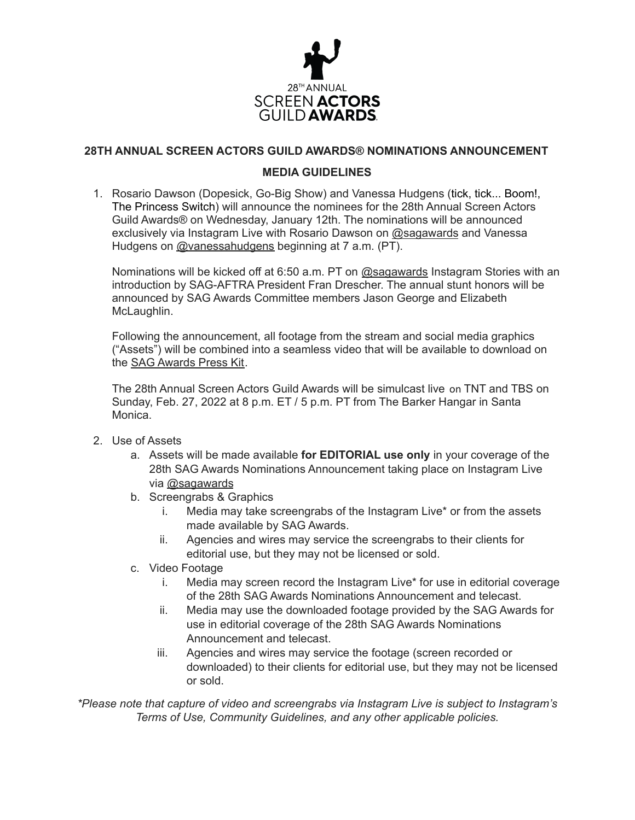

## **28TH ANNUAL SCREEN ACTORS GUILD AWARDS® NOMINATIONS ANNOUNCEMENT**

## **MEDIA GUIDELINES**

1. Rosario Dawson (Dopesick, Go-Big Show) and Vanessa Hudgens (tick, tick... Boom!, The Princess Switch) will announce the nominees for the 28th Annual Screen Actors Guild Awards® on Wednesday, January 12th. The nominations will be announced exclusively via Instagram Live with Rosario Dawson on [@sagawards](https://www.instagram.com/sagawards/) and Vanessa Hudgens on [@vanessahudgens](https://www.instagram.com/vanessahudgens/) beginning at 7 a.m. (PT).

Nominations will be kicked off at 6:50 a.m. PT on [@sagawards](https://www.instagram.com/sagawards/) Instagram Stories with an introduction by SAG-AFTRA President Fran Drescher. The annual stunt honors will be announced by SAG Awards Committee members Jason George and Elizabeth McLaughlin.

Following the announcement, all footage from the stream and social media graphics ("Assets") will be combined into a seamless video that will be available to download on the SAG [Awards](https://www.sagawards.org/media/newsinfo/press-kit) Press Kit.

The 28th Annual Screen Actors Guild Awards will be simulcast live on TNT and TBS on Sunday, Feb. 27, 2022 at 8 p.m. ET / 5 p.m. PT from The Barker Hangar in Santa Monica.

- 2. Use of Assets
	- a. Assets will be made available **for EDITORIAL use only** in your coverage of the 28th SAG Awards Nominations Announcement taking place on Instagram Live via [@sagawards](https://www.instagram.com/sagawards/)
	- b. Screengrabs & Graphics
		- i. Media may take screengrabs of the Instagram Live\* or from the assets made available by SAG Awards.
		- ii. Agencies and wires may service the screengrabs to their clients for editorial use, but they may not be licensed or sold.
	- c. Video Footage
		- i. Media may screen record the Instagram Live\* for use in editorial coverage of the 28th SAG Awards Nominations Announcement and telecast.
		- ii. Media may use the downloaded footage provided by the SAG Awards for use in editorial coverage of the 28th SAG Awards Nominations Announcement and telecast.
		- iii. Agencies and wires may service the footage (screen recorded or downloaded) to their clients for editorial use, but they may not be licensed or sold.

*\*Please note that capture of video and screengrabs via Instagram Live is subject to Instagram's Terms of Use, Community Guidelines, and any other applicable policies.*